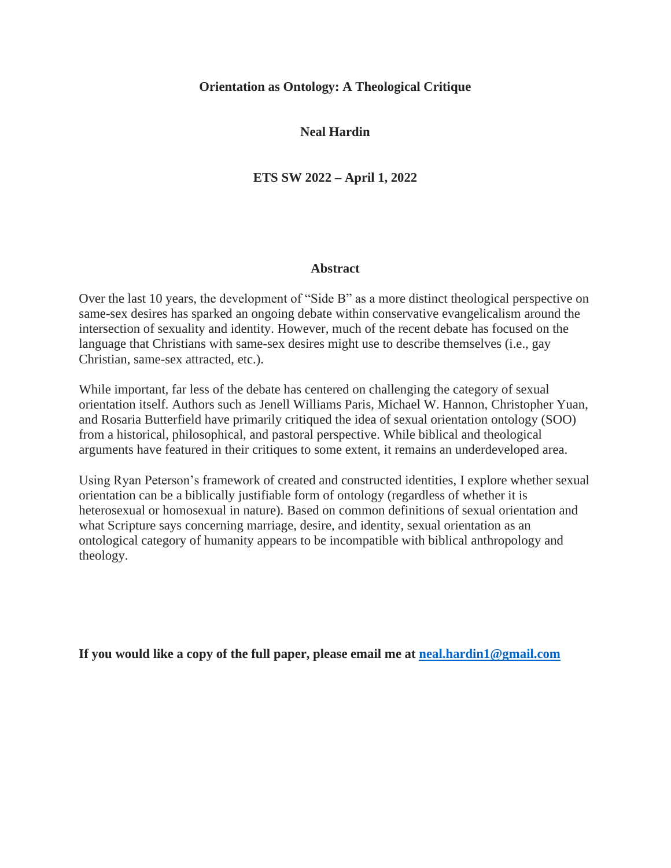# **Orientation as Ontology: A Theological Critique**

# **Neal Hardin**

# **ETS SW 2022 – April 1, 2022**

# **Abstract**

Over the last 10 years, the development of "Side B" as a more distinct theological perspective on same-sex desires has sparked an ongoing debate within conservative evangelicalism around the intersection of sexuality and identity. However, much of the recent debate has focused on the language that Christians with same-sex desires might use to describe themselves (i.e., gay Christian, same-sex attracted, etc.).

While important, far less of the debate has centered on challenging the category of sexual orientation itself. Authors such as Jenell Williams Paris, Michael W. Hannon, Christopher Yuan, and Rosaria Butterfield have primarily critiqued the idea of sexual orientation ontology (SOO) from a historical, philosophical, and pastoral perspective. While biblical and theological arguments have featured in their critiques to some extent, it remains an underdeveloped area.

Using Ryan Peterson's framework of created and constructed identities, I explore whether sexual orientation can be a biblically justifiable form of ontology (regardless of whether it is heterosexual or homosexual in nature). Based on common definitions of sexual orientation and what Scripture says concerning marriage, desire, and identity, sexual orientation as an ontological category of humanity appears to be incompatible with biblical anthropology and theology.

**If you would like a copy of the full paper, please email me at [neal.hardin1@gmail.com](about:blank)**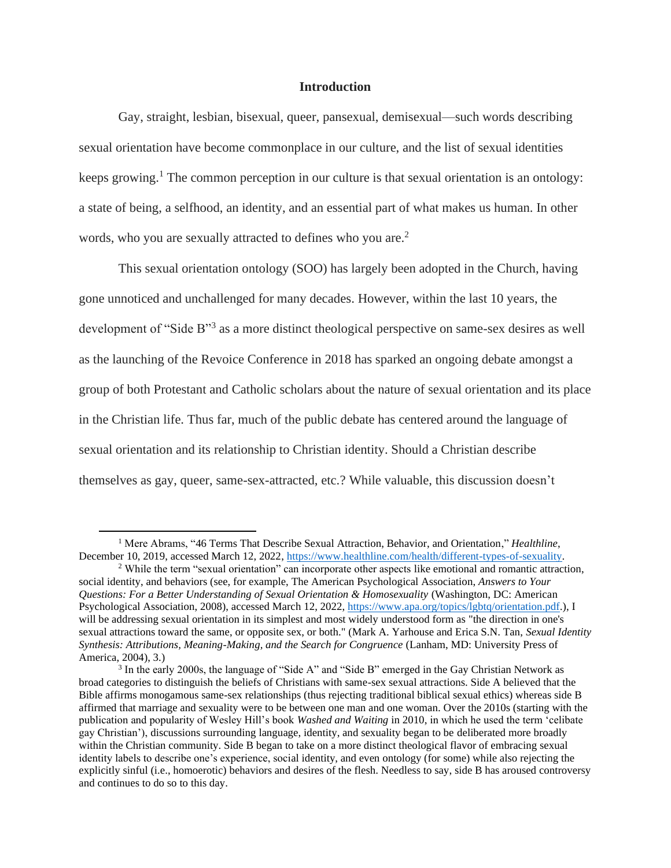# **Introduction**

Gay, straight, lesbian, bisexual, queer, pansexual, demisexual—such words describing sexual orientation have become commonplace in our culture, and the list of sexual identities keeps growing.<sup>1</sup> The common perception in our culture is that sexual orientation is an ontology: a state of being, a selfhood, an identity, and an essential part of what makes us human. In other words, who you are sexually attracted to defines who you are.<sup>2</sup>

This sexual orientation ontology (SOO) has largely been adopted in the Church, having gone unnoticed and unchallenged for many decades. However, within the last 10 years, the development of "Side B"<sup>3</sup> as a more distinct theological perspective on same-sex desires as well as the launching of the Revoice Conference in 2018 has sparked an ongoing debate amongst a group of both Protestant and Catholic scholars about the nature of sexual orientation and its place in the Christian life. Thus far, much of the public debate has centered around the language of sexual orientation and its relationship to Christian identity. Should a Christian describe themselves as gay, queer, same-sex-attracted, etc.? While valuable, this discussion doesn't

<sup>1</sup> Mere Abrams, "46 Terms That Describe Sexual Attraction, Behavior, and Orientation," *Healthline*, December 10, 2019, accessed March 12, 2022, [https://www.healthline.com/health/different-types-of-sexuality.](about:blank)

<sup>&</sup>lt;sup>2</sup> While the term "sexual orientation" can incorporate other aspects like emotional and romantic attraction, social identity, and behaviors (see, for example, The American Psychological Association, *Answers to Your Questions: For a Better Understanding of Sexual Orientation & Homosexuality* (Washington, DC: American Psychological Association, 2008), accessed March 12, 2022, [https://www.apa.org/topics/lgbtq/orientation.pdf.](about:blank)), I will be addressing sexual orientation in its simplest and most widely understood form as "the direction in one's sexual attractions toward the same, or opposite sex, or both." (Mark A. Yarhouse and Erica S.N. Tan, *Sexual Identity Synthesis: Attributions, Meaning-Making, and the Search for Congruence* (Lanham, MD: University Press of America, 2004), 3.)

<sup>&</sup>lt;sup>3</sup> In the early 2000s, the language of "Side A" and "Side B" emerged in the Gay Christian Network as broad categories to distinguish the beliefs of Christians with same-sex sexual attractions. Side A believed that the Bible affirms monogamous same-sex relationships (thus rejecting traditional biblical sexual ethics) whereas side B affirmed that marriage and sexuality were to be between one man and one woman. Over the 2010s (starting with the publication and popularity of Wesley Hill's book *Washed and Waiting* in 2010, in which he used the term 'celibate gay Christian'), discussions surrounding language, identity, and sexuality began to be deliberated more broadly within the Christian community. Side B began to take on a more distinct theological flavor of embracing sexual identity labels to describe one's experience, social identity, and even ontology (for some) while also rejecting the explicitly sinful (i.e., homoerotic) behaviors and desires of the flesh. Needless to say, side B has aroused controversy and continues to do so to this day.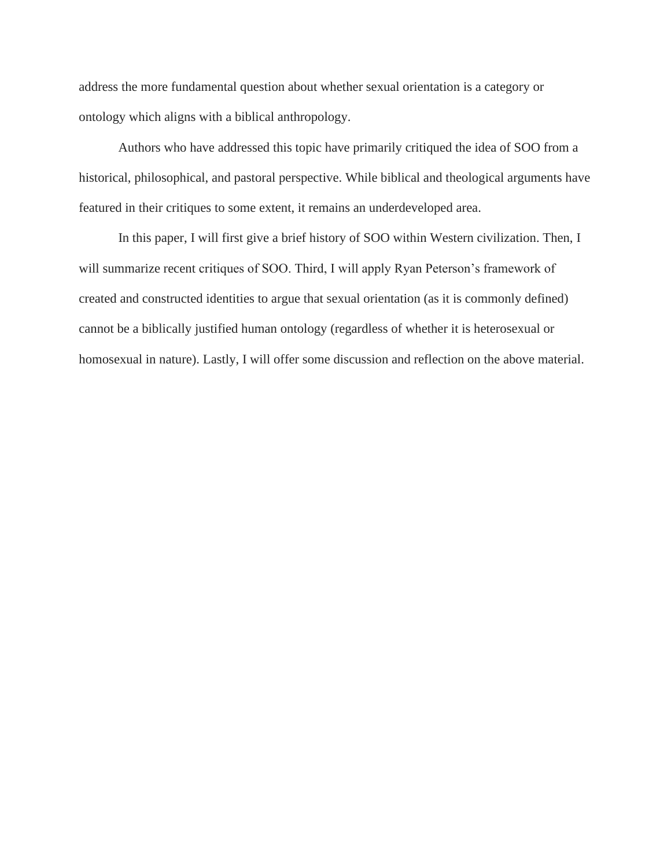address the more fundamental question about whether sexual orientation is a category or ontology which aligns with a biblical anthropology.

Authors who have addressed this topic have primarily critiqued the idea of SOO from a historical, philosophical, and pastoral perspective. While biblical and theological arguments have featured in their critiques to some extent, it remains an underdeveloped area.

In this paper, I will first give a brief history of SOO within Western civilization. Then, I will summarize recent critiques of SOO. Third, I will apply Ryan Peterson's framework of created and constructed identities to argue that sexual orientation (as it is commonly defined) cannot be a biblically justified human ontology (regardless of whether it is heterosexual or homosexual in nature). Lastly, I will offer some discussion and reflection on the above material.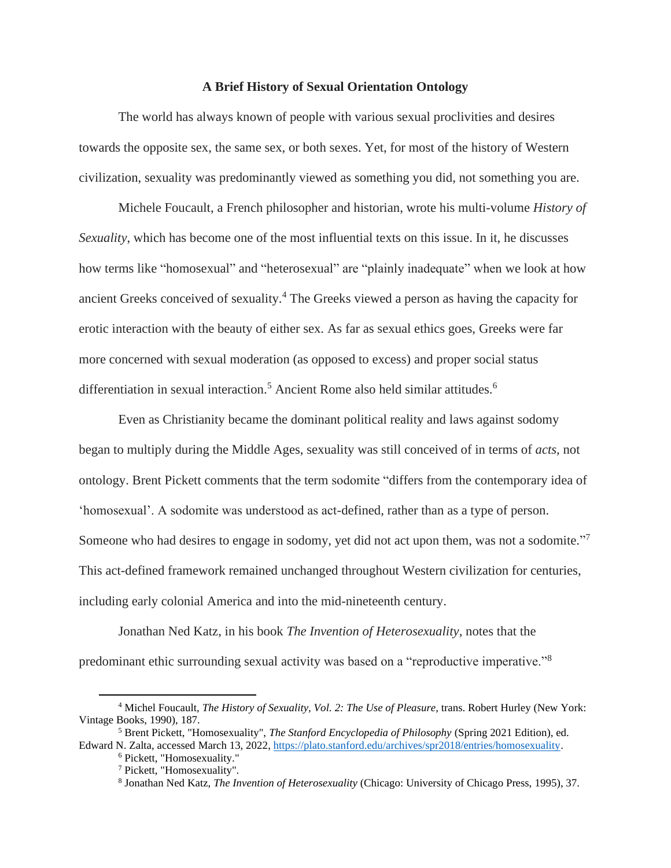### **A Brief History of Sexual Orientation Ontology**

The world has always known of people with various sexual proclivities and desires towards the opposite sex, the same sex, or both sexes. Yet, for most of the history of Western civilization, sexuality was predominantly viewed as something you did, not something you are.

Michele Foucault, a French philosopher and historian, wrote his multi-volume *History of Sexuality*, which has become one of the most influential texts on this issue. In it, he discusses how terms like "homosexual" and "heterosexual" are "plainly inadequate" when we look at how ancient Greeks conceived of sexuality.<sup>4</sup> The Greeks viewed a person as having the capacity for erotic interaction with the beauty of either sex. As far as sexual ethics goes, Greeks were far more concerned with sexual moderation (as opposed to excess) and proper social status differentiation in sexual interaction.<sup>5</sup> Ancient Rome also held similar attitudes.<sup>6</sup>

Even as Christianity became the dominant political reality and laws against sodomy began to multiply during the Middle Ages, sexuality was still conceived of in terms of *acts*, not ontology. Brent Pickett comments that the term sodomite "differs from the contemporary idea of 'homosexual'. A sodomite was understood as act-defined, rather than as a type of person. Someone who had desires to engage in sodomy, yet did not act upon them, was not a sodomite."<sup>7</sup> This act-defined framework remained unchanged throughout Western civilization for centuries, including early colonial America and into the mid-nineteenth century.

Jonathan Ned Katz, in his book *The Invention of Heterosexuality*, notes that the predominant ethic surrounding sexual activity was based on a "reproductive imperative."<sup>8</sup>

<sup>4</sup> Michel Foucault, *The History of Sexuality, Vol. 2: The Use of Pleasure*, trans. Robert Hurley (New York: Vintage Books, 1990), 187.

<sup>5</sup> Brent Pickett, "Homosexuality", *The Stanford Encyclopedia of Philosophy* (Spring 2021 Edition), ed. Edward N. Zalta, accessed March 13, 2022[, https://plato.stanford.edu/archives/spr2018/entries/homosexuality.](about:blank)

<sup>6</sup> Pickett, "Homosexuality."

<sup>&</sup>lt;sup>7</sup> Pickett, "Homosexuality".

<sup>8</sup> Jonathan Ned Katz, *The Invention of Heterosexuality* (Chicago: University of Chicago Press, 1995), 37.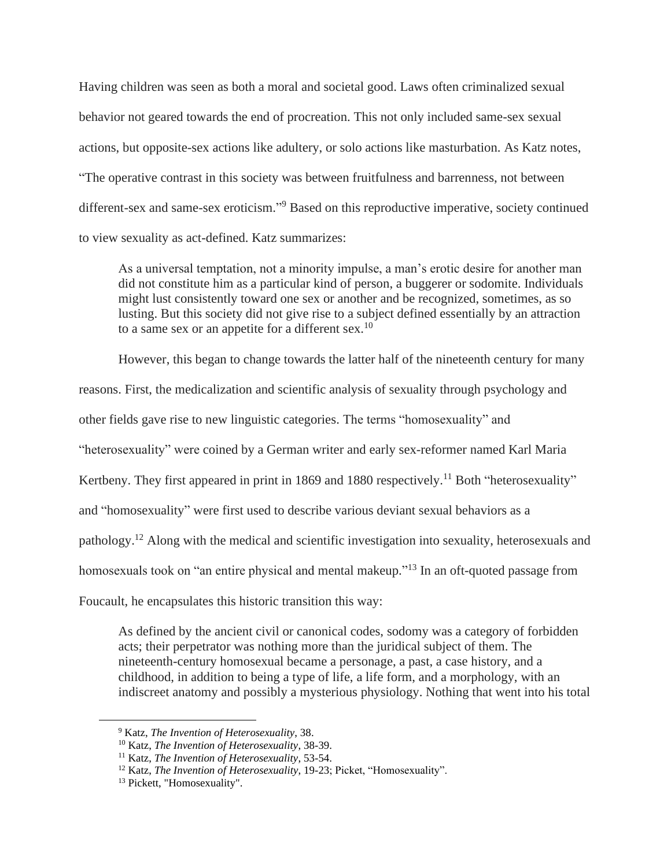Having children was seen as both a moral and societal good. Laws often criminalized sexual behavior not geared towards the end of procreation. This not only included same-sex sexual actions, but opposite-sex actions like adultery, or solo actions like masturbation. As Katz notes, "The operative contrast in this society was between fruitfulness and barrenness, not between different-sex and same-sex eroticism." <sup>9</sup> Based on this reproductive imperative, society continued to view sexuality as act-defined. Katz summarizes:

As a universal temptation, not a minority impulse, a man's erotic desire for another man did not constitute him as a particular kind of person, a buggerer or sodomite. Individuals might lust consistently toward one sex or another and be recognized, sometimes, as so lusting. But this society did not give rise to a subject defined essentially by an attraction to a same sex or an appetite for a different sex.<sup>10</sup>

However, this began to change towards the latter half of the nineteenth century for many

reasons. First, the medicalization and scientific analysis of sexuality through psychology and

other fields gave rise to new linguistic categories. The terms "homosexuality" and

"heterosexuality" were coined by a German writer and early sex-reformer named Karl Maria

Kertbeny. They first appeared in print in 1869 and 1880 respectively.<sup>11</sup> Both "heterosexuality"

and "homosexuality" were first used to describe various deviant sexual behaviors as a

pathology.<sup>12</sup> Along with the medical and scientific investigation into sexuality, heterosexuals and

homosexuals took on "an entire physical and mental makeup."<sup>13</sup> In an oft-quoted passage from

Foucault, he encapsulates this historic transition this way:

As defined by the ancient civil or canonical codes, sodomy was a category of forbidden acts; their perpetrator was nothing more than the juridical subject of them. The nineteenth-century homosexual became a personage, a past, a case history, and a childhood, in addition to being a type of life, a life form, and a morphology, with an indiscreet anatomy and possibly a mysterious physiology. Nothing that went into his total

<sup>9</sup> Katz, *The Invention of Heterosexuality*, 38.

<sup>10</sup> Katz, *The Invention of Heterosexuality*, 38-39.

<sup>11</sup> Katz, *The Invention of Heterosexuality*, 53-54.

<sup>&</sup>lt;sup>12</sup> Katz, *The Invention of Heterosexuality*, 19-23; Picket, "Homosexuality".

<sup>13</sup> Pickett, "Homosexuality".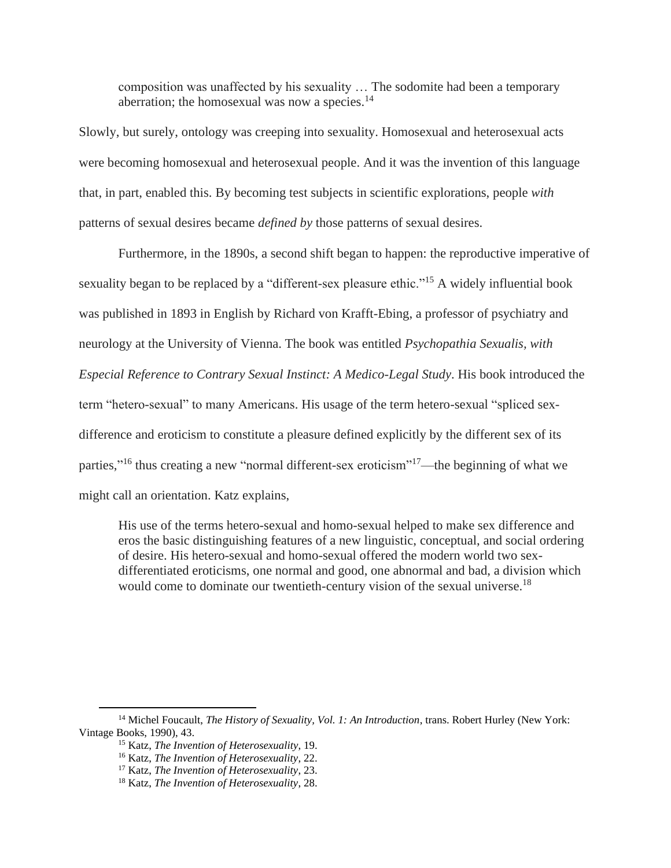composition was unaffected by his sexuality … The sodomite had been a temporary aberration; the homosexual was now a species. $^{14}$ 

Slowly, but surely, ontology was creeping into sexuality. Homosexual and heterosexual acts were becoming homosexual and heterosexual people. And it was the invention of this language that, in part, enabled this. By becoming test subjects in scientific explorations, people *with* patterns of sexual desires became *defined by* those patterns of sexual desires.

Furthermore, in the 1890s, a second shift began to happen: the reproductive imperative of sexuality began to be replaced by a "different-sex pleasure ethic."<sup>15</sup> A widely influential book was published in 1893 in English by Richard von Krafft-Ebing, a professor of psychiatry and neurology at the University of Vienna. The book was entitled *Psychopathia Sexualis, with Especial Reference to Contrary Sexual Instinct: A Medico-Legal Study*. His book introduced the term "hetero-sexual" to many Americans. His usage of the term hetero-sexual "spliced sexdifference and eroticism to constitute a pleasure defined explicitly by the different sex of its parties,"<sup>16</sup> thus creating a new "normal different-sex eroticism"<sup>17</sup>—the beginning of what we might call an orientation. Katz explains,

His use of the terms hetero-sexual and homo-sexual helped to make sex difference and eros the basic distinguishing features of a new linguistic, conceptual, and social ordering of desire. His hetero-sexual and homo-sexual offered the modern world two sexdifferentiated eroticisms, one normal and good, one abnormal and bad, a division which would come to dominate our twentieth-century vision of the sexual universe.<sup>18</sup>

<sup>14</sup> Michel Foucault, *The History of Sexuality, Vol. 1: An Introduction*, trans. Robert Hurley (New York: Vintage Books, 1990), 43.

<sup>15</sup> Katz, *The Invention of Heterosexuality*, 19.

<sup>16</sup> Katz, *The Invention of Heterosexuality*, 22.

<sup>17</sup> Katz, *The Invention of Heterosexuality*, 23.

<sup>18</sup> Katz, *The Invention of Heterosexuality*, 28.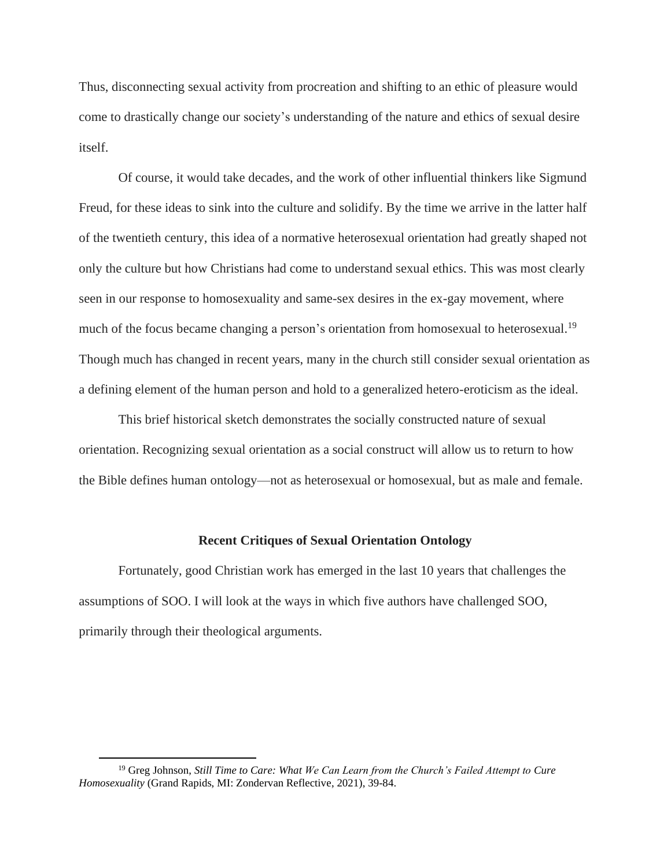Thus, disconnecting sexual activity from procreation and shifting to an ethic of pleasure would come to drastically change our society's understanding of the nature and ethics of sexual desire itself.

Of course, it would take decades, and the work of other influential thinkers like Sigmund Freud, for these ideas to sink into the culture and solidify. By the time we arrive in the latter half of the twentieth century, this idea of a normative heterosexual orientation had greatly shaped not only the culture but how Christians had come to understand sexual ethics. This was most clearly seen in our response to homosexuality and same-sex desires in the ex-gay movement, where much of the focus became changing a person's orientation from homosexual to heterosexual.<sup>19</sup> Though much has changed in recent years, many in the church still consider sexual orientation as a defining element of the human person and hold to a generalized hetero-eroticism as the ideal.

This brief historical sketch demonstrates the socially constructed nature of sexual orientation. Recognizing sexual orientation as a social construct will allow us to return to how the Bible defines human ontology—not as heterosexual or homosexual, but as male and female.

## **Recent Critiques of Sexual Orientation Ontology**

Fortunately, good Christian work has emerged in the last 10 years that challenges the assumptions of SOO. I will look at the ways in which five authors have challenged SOO, primarily through their theological arguments.

<sup>19</sup> Greg Johnson, *Still Time to Care: What We Can Learn from the Church's Failed Attempt to Cure Homosexuality* (Grand Rapids, MI: Zondervan Reflective, 2021), 39-84.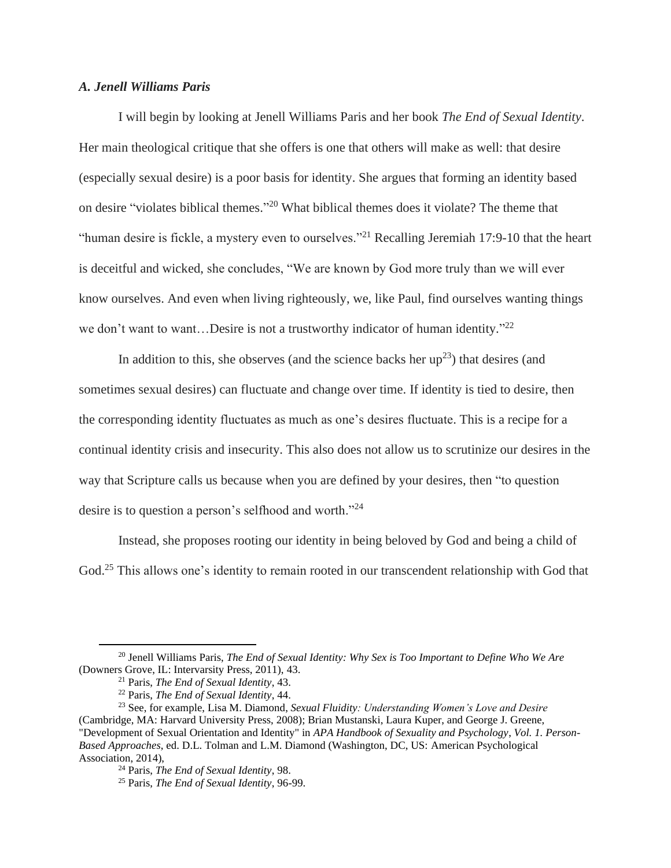# *A. Jenell Williams Paris*

I will begin by looking at Jenell Williams Paris and her book *The End of Sexual Identity*. Her main theological critique that she offers is one that others will make as well: that desire (especially sexual desire) is a poor basis for identity. She argues that forming an identity based on desire "violates biblical themes." <sup>20</sup> What biblical themes does it violate? The theme that "human desire is fickle, a mystery even to ourselves."<sup>21</sup> Recalling Jeremiah 17:9-10 that the heart is deceitful and wicked, she concludes, "We are known by God more truly than we will ever know ourselves. And even when living righteously, we, like Paul, find ourselves wanting things we don't want to want...Desire is not a trustworthy indicator of human identity."<sup>22</sup>

In addition to this, she observes (and the science backs her  $up^{23}$ ) that desires (and sometimes sexual desires) can fluctuate and change over time. If identity is tied to desire, then the corresponding identity fluctuates as much as one's desires fluctuate. This is a recipe for a continual identity crisis and insecurity. This also does not allow us to scrutinize our desires in the way that Scripture calls us because when you are defined by your desires, then "to question desire is to question a person's selfhood and worth."<sup>24</sup>

Instead, she proposes rooting our identity in being beloved by God and being a child of God.<sup>25</sup> This allows one's identity to remain rooted in our transcendent relationship with God that

<sup>20</sup> Jenell Williams Paris, *The End of Sexual Identity: Why Sex is Too Important to Define Who We Are* (Downers Grove, IL: Intervarsity Press, 2011), 43.

<sup>21</sup> Paris, *The End of Sexual Identity*, 43.

<sup>22</sup> Paris, *The End of Sexual Identity*, 44.

<sup>23</sup> See, for example, Lisa M. Diamond, *Sexual Fluidity: Understanding Women's Love and Desire* (Cambridge, MA: Harvard University Press, 2008); Brian Mustanski, Laura Kuper, and George J. Greene, "Development of Sexual Orientation and Identity" in *APA Handbook of Sexuality and Psychology*, *Vol. 1. Person-Based Approaches*, ed. D.L. Tolman and L.M. Diamond (Washington, DC, US: American Psychological Association, 2014),

<sup>24</sup> Paris, *The End of Sexual Identity*, 98.

<sup>25</sup> Paris, *The End of Sexual Identity*, 96-99.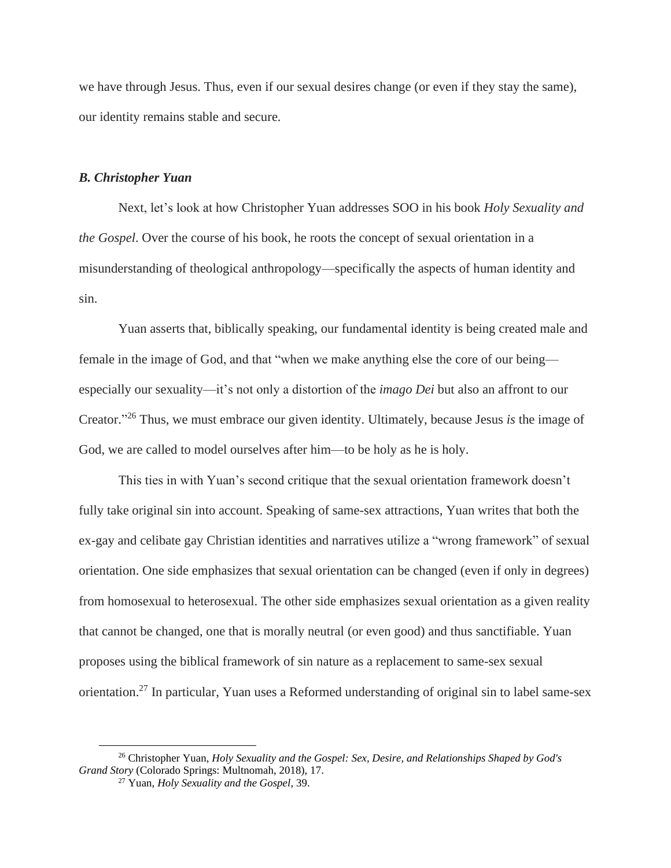we have through Jesus. Thus, even if our sexual desires change (or even if they stay the same), our identity remains stable and secure.

## *B. Christopher Yuan*

Next, let's look at how Christopher Yuan addresses SOO in his book *Holy Sexuality and the Gospel*. Over the course of his book, he roots the concept of sexual orientation in a misunderstanding of theological anthropology—specifically the aspects of human identity and sin.

Yuan asserts that, biblically speaking, our fundamental identity is being created male and female in the image of God, and that "when we make anything else the core of our being especially our sexuality—it's not only a distortion of the *imago Dei* but also an affront to our Creator." <sup>26</sup> Thus, we must embrace our given identity. Ultimately, because Jesus *is* the image of God, we are called to model ourselves after him—to be holy as he is holy.

This ties in with Yuan's second critique that the sexual orientation framework doesn't fully take original sin into account. Speaking of same-sex attractions, Yuan writes that both the ex-gay and celibate gay Christian identities and narratives utilize a "wrong framework" of sexual orientation. One side emphasizes that sexual orientation can be changed (even if only in degrees) from homosexual to heterosexual. The other side emphasizes sexual orientation as a given reality that cannot be changed, one that is morally neutral (or even good) and thus sanctifiable. Yuan proposes using the biblical framework of sin nature as a replacement to same-sex sexual orientation.<sup>27</sup> In particular, Yuan uses a Reformed understanding of original sin to label same-sex

<sup>26</sup> Christopher Yuan, *Holy Sexuality and the Gospel: Sex, Desire, and Relationships Shaped by God's Grand Story* (Colorado Springs: Multnomah, 2018), 17.

<sup>27</sup> Yuan, *Holy Sexuality and the Gospel*, 39.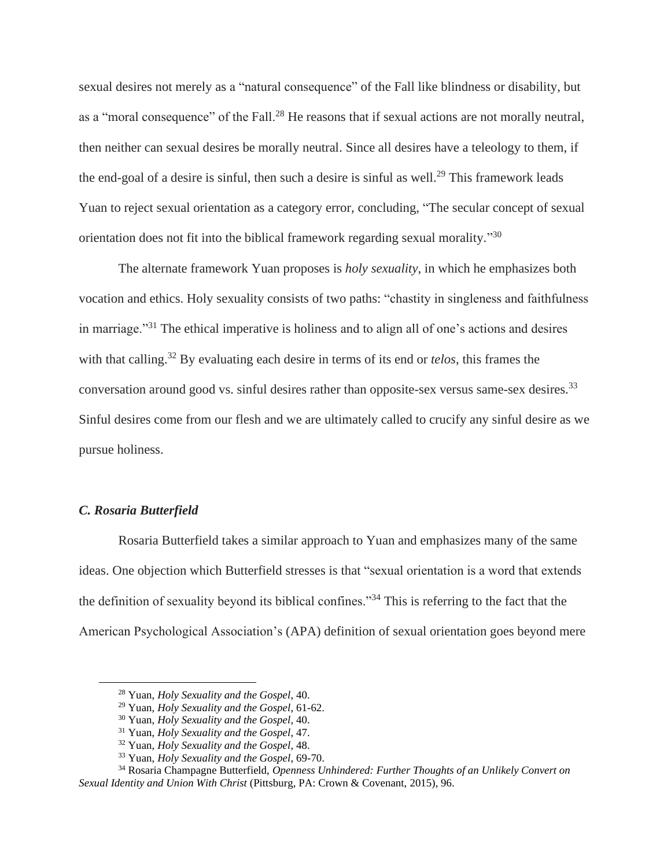sexual desires not merely as a "natural consequence" of the Fall like blindness or disability, but as a "moral consequence" of the Fall.<sup>28</sup> He reasons that if sexual actions are not morally neutral, then neither can sexual desires be morally neutral. Since all desires have a teleology to them, if the end-goal of a desire is sinful, then such a desire is sinful as well.<sup>29</sup> This framework leads Yuan to reject sexual orientation as a category error, concluding, "The secular concept of sexual orientation does not fit into the biblical framework regarding sexual morality."<sup>30</sup>

The alternate framework Yuan proposes is *holy sexuality*, in which he emphasizes both vocation and ethics. Holy sexuality consists of two paths: "chastity in singleness and faithfulness in marriage."<sup>31</sup> The ethical imperative is holiness and to align all of one's actions and desires with that calling. <sup>32</sup> By evaluating each desire in terms of its end or *telos*, this frames the conversation around good vs. sinful desires rather than opposite-sex versus same-sex desires.<sup>33</sup> Sinful desires come from our flesh and we are ultimately called to crucify any sinful desire as we pursue holiness.

## *C. Rosaria Butterfield*

Rosaria Butterfield takes a similar approach to Yuan and emphasizes many of the same ideas. One objection which Butterfield stresses is that "sexual orientation is a word that extends the definition of sexuality beyond its biblical confines."<sup>34</sup> This is referring to the fact that the American Psychological Association's (APA) definition of sexual orientation goes beyond mere

<sup>28</sup> Yuan, *Holy Sexuality and the Gospel*, 40.

<sup>29</sup> Yuan, *Holy Sexuality and the Gospel*, 61-62.

<sup>30</sup> Yuan, *Holy Sexuality and the Gospel*, 40.

<sup>31</sup> Yuan, *Holy Sexuality and the Gospel*, 47.

<sup>32</sup> Yuan, *Holy Sexuality and the Gospel*, 48.

<sup>33</sup> Yuan, *Holy Sexuality and the Gospel*, 69-70.

<sup>34</sup> Rosaria Champagne Butterfield, *Openness Unhindered: Further Thoughts of an Unlikely Convert on Sexual Identity and Union With Christ* (Pittsburg, PA: Crown & Covenant, 2015), 96.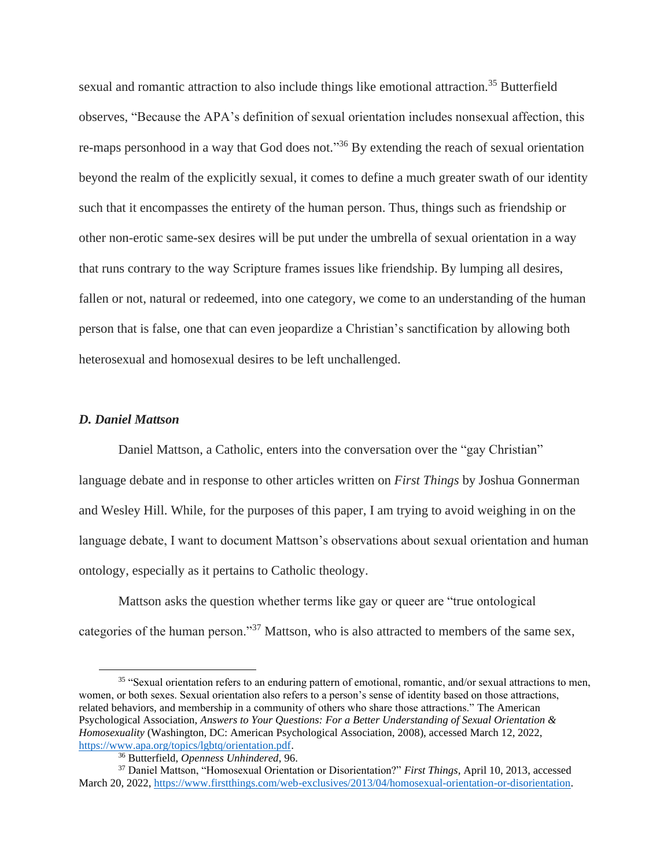sexual and romantic attraction to also include things like emotional attraction.<sup>35</sup> Butterfield observes, "Because the APA's definition of sexual orientation includes nonsexual affection, this re-maps personhood in a way that God does not."<sup>36</sup> By extending the reach of sexual orientation beyond the realm of the explicitly sexual, it comes to define a much greater swath of our identity such that it encompasses the entirety of the human person. Thus, things such as friendship or other non-erotic same-sex desires will be put under the umbrella of sexual orientation in a way that runs contrary to the way Scripture frames issues like friendship. By lumping all desires, fallen or not, natural or redeemed, into one category, we come to an understanding of the human person that is false, one that can even jeopardize a Christian's sanctification by allowing both heterosexual and homosexual desires to be left unchallenged.

#### *D. Daniel Mattson*

Daniel Mattson, a Catholic, enters into the conversation over the "gay Christian" language debate and in response to other articles written on *First Things* by Joshua Gonnerman and Wesley Hill. While, for the purposes of this paper, I am trying to avoid weighing in on the language debate, I want to document Mattson's observations about sexual orientation and human ontology, especially as it pertains to Catholic theology.

Mattson asks the question whether terms like gay or queer are "true ontological categories of the human person."<sup>37</sup> Mattson, who is also attracted to members of the same sex,

<sup>35</sup> "Sexual orientation refers to an enduring pattern of emotional, romantic, and/or sexual attractions to men, women, or both sexes. Sexual orientation also refers to a person's sense of identity based on those attractions, related behaviors, and membership in a community of others who share those attractions." The American Psychological Association, *Answers to Your Questions: For a Better Understanding of Sexual Orientation & Homosexuality* (Washington, DC: American Psychological Association, 2008), accessed March 12, 2022, [https://www.apa.org/topics/lgbtq/orientation.pdf.](about:blank)

<sup>36</sup> Butterfield, *Openness Unhindered*, 96.

<sup>37</sup> Daniel Mattson, "Homosexual Orientation or Disorientation?" *First Things*, April 10, 2013, accessed March 20, 2022[, https://www.firstthings.com/web-exclusives/2013/04/homosexual-orientation-or-disorientation.](about:blank)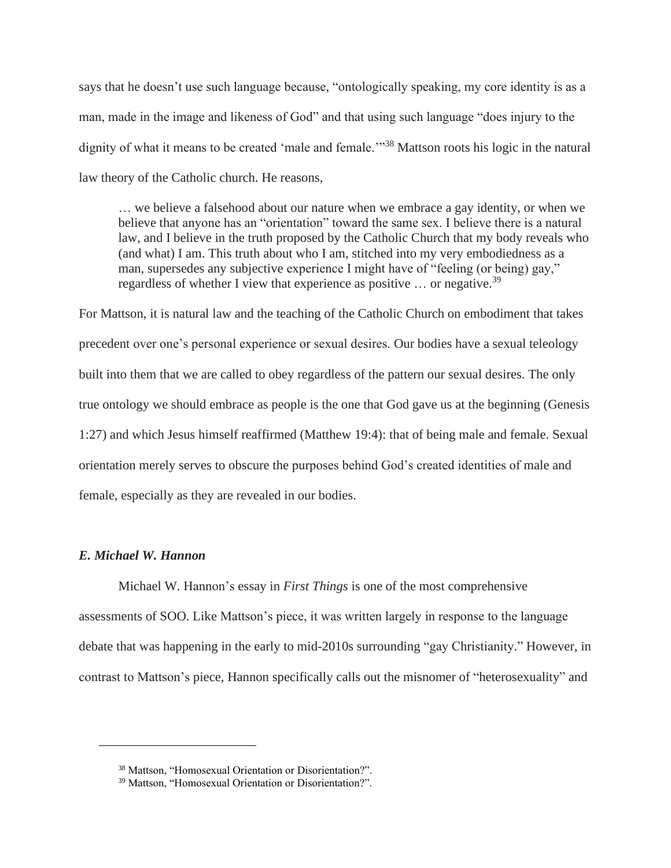says that he doesn't use such language because, "ontologically speaking, my core identity is as a man, made in the image and likeness of God" and that using such language "does injury to the dignity of what it means to be created 'male and female.'"<sup>38</sup> Mattson roots his logic in the natural law theory of the Catholic church. He reasons,

… we believe a falsehood about our nature when we embrace a gay identity, or when we believe that anyone has an "orientation" toward the same sex. I believe there is a natural law, and I believe in the truth proposed by the Catholic Church that my body reveals who (and what) I am. This truth about who I am, stitched into my very embodiedness as a man, supersedes any subjective experience I might have of "feeling (or being) gay," regardless of whether I view that experience as positive ... or negative.<sup>39</sup>

For Mattson, it is natural law and the teaching of the Catholic Church on embodiment that takes precedent over one's personal experience or sexual desires. Our bodies have a sexual teleology built into them that we are called to obey regardless of the pattern our sexual desires. The only true ontology we should embrace as people is the one that God gave us at the beginning (Genesis 1:27) and which Jesus himself reaffirmed (Matthew 19:4): that of being male and female. Sexual orientation merely serves to obscure the purposes behind God's created identities of male and female, especially as they are revealed in our bodies.

# *E. Michael W. Hannon*

Michael W. Hannon's essay in *First Things* is one of the most comprehensive assessments of SOO. Like Mattson's piece, it was written largely in response to the language debate that was happening in the early to mid-2010s surrounding "gay Christianity." However, in contrast to Mattson's piece, Hannon specifically calls out the misnomer of "heterosexuality" and

<sup>38</sup> Mattson, "Homosexual Orientation or Disorientation?".

<sup>39</sup> Mattson, "Homosexual Orientation or Disorientation?".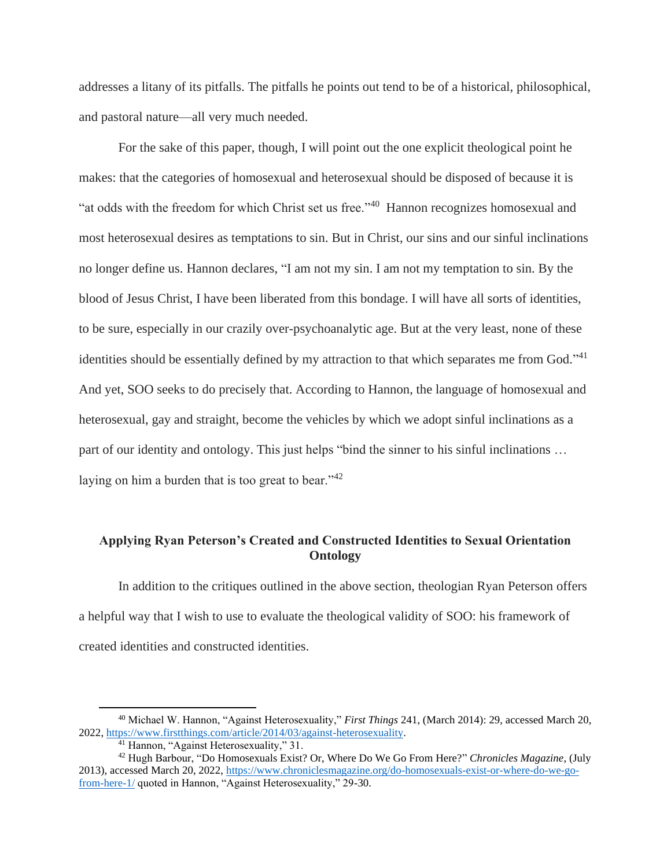addresses a litany of its pitfalls. The pitfalls he points out tend to be of a historical, philosophical, and pastoral nature—all very much needed.

For the sake of this paper, though, I will point out the one explicit theological point he makes: that the categories of homosexual and heterosexual should be disposed of because it is "at odds with the freedom for which Christ set us free."<sup>40</sup> Hannon recognizes homosexual and most heterosexual desires as temptations to sin. But in Christ, our sins and our sinful inclinations no longer define us. Hannon declares, "I am not my sin. I am not my temptation to sin. By the blood of Jesus Christ, I have been liberated from this bondage. I will have all sorts of identities, to be sure, especially in our crazily over-psychoanalytic age. But at the very least, none of these identities should be essentially defined by my attraction to that which separates me from God."<sup>41</sup> And yet, SOO seeks to do precisely that. According to Hannon, the language of homosexual and heterosexual, gay and straight, become the vehicles by which we adopt sinful inclinations as a part of our identity and ontology. This just helps "bind the sinner to his sinful inclinations … laying on him a burden that is too great to bear." $42$ 

# **Applying Ryan Peterson's Created and Constructed Identities to Sexual Orientation Ontology**

In addition to the critiques outlined in the above section, theologian Ryan Peterson offers a helpful way that I wish to use to evaluate the theological validity of SOO: his framework of created identities and constructed identities.

<sup>40</sup> Michael W. Hannon, "Against Heterosexuality," *First Things* 241, (March 2014): 29, accessed March 20, 2022, [https://www.firstthings.com/article/2014/03/against-heterosexuality.](about:blank)

<sup>&</sup>lt;sup>41</sup> Hannon, "Against Heterosexuality," 31.

<sup>42</sup> Hugh Barbour, "Do Homosexuals Exist? Or, Where Do We Go From Here?" *Chronicles Magazine*, (July 2013), accessed March 20, 2022, [https://www.chroniclesmagazine.org/do-homosexuals-exist-or-where-do-we-go](about:blank)[from-here-1/](about:blank) quoted in Hannon, "Against Heterosexuality," 29-30.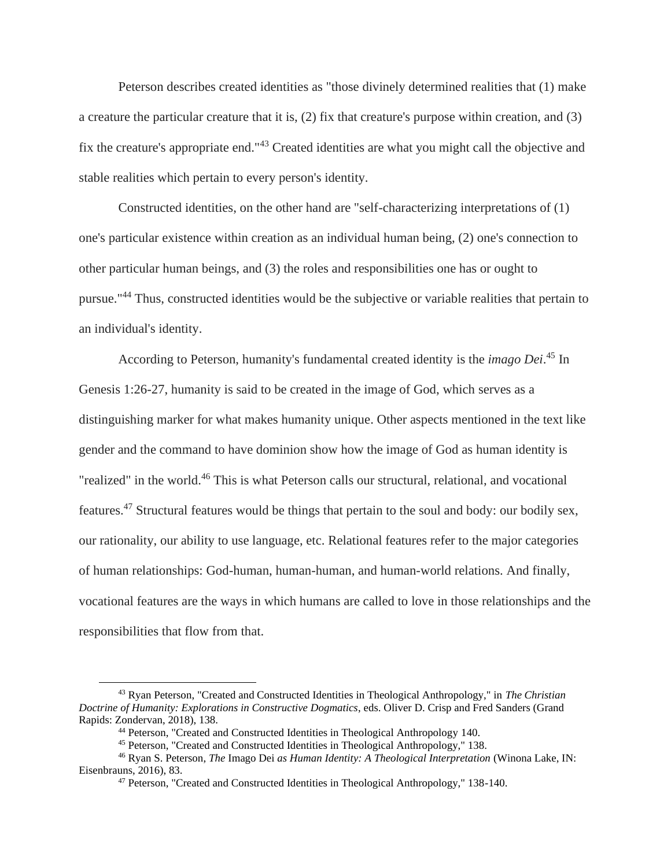Peterson describes created identities as "those divinely determined realities that (1) make a creature the particular creature that it is, (2) fix that creature's purpose within creation, and (3) fix the creature's appropriate end."<sup>43</sup> Created identities are what you might call the objective and stable realities which pertain to every person's identity.

Constructed identities, on the other hand are "self-characterizing interpretations of (1) one's particular existence within creation as an individual human being, (2) one's connection to other particular human beings, and (3) the roles and responsibilities one has or ought to pursue."<sup>44</sup> Thus, constructed identities would be the subjective or variable realities that pertain to an individual's identity.

According to Peterson, humanity's fundamental created identity is the *imago Dei*. <sup>45</sup> In Genesis 1:26-27, humanity is said to be created in the image of God, which serves as a distinguishing marker for what makes humanity unique. Other aspects mentioned in the text like gender and the command to have dominion show how the image of God as human identity is "realized" in the world. <sup>46</sup> This is what Peterson calls our structural, relational, and vocational features.<sup>47</sup> Structural features would be things that pertain to the soul and body: our bodily sex, our rationality, our ability to use language, etc. Relational features refer to the major categories of human relationships: God-human, human-human, and human-world relations. And finally, vocational features are the ways in which humans are called to love in those relationships and the responsibilities that flow from that.

<sup>43</sup> Ryan Peterson, "Created and Constructed Identities in Theological Anthropology," in *The Christian Doctrine of Humanity: Explorations in Constructive Dogmatics*, eds. Oliver D. Crisp and Fred Sanders (Grand Rapids: Zondervan, 2018), 138.

<sup>44</sup> Peterson, "Created and Constructed Identities in Theological Anthropology 140.

<sup>45</sup> Peterson, "Created and Constructed Identities in Theological Anthropology," 138.

<sup>46</sup> Ryan S. Peterson, *The* Imago Dei *as Human Identity: A Theological Interpretation* (Winona Lake, IN: Eisenbrauns, 2016), 83.

<sup>47</sup> Peterson, "Created and Constructed Identities in Theological Anthropology," 138-140.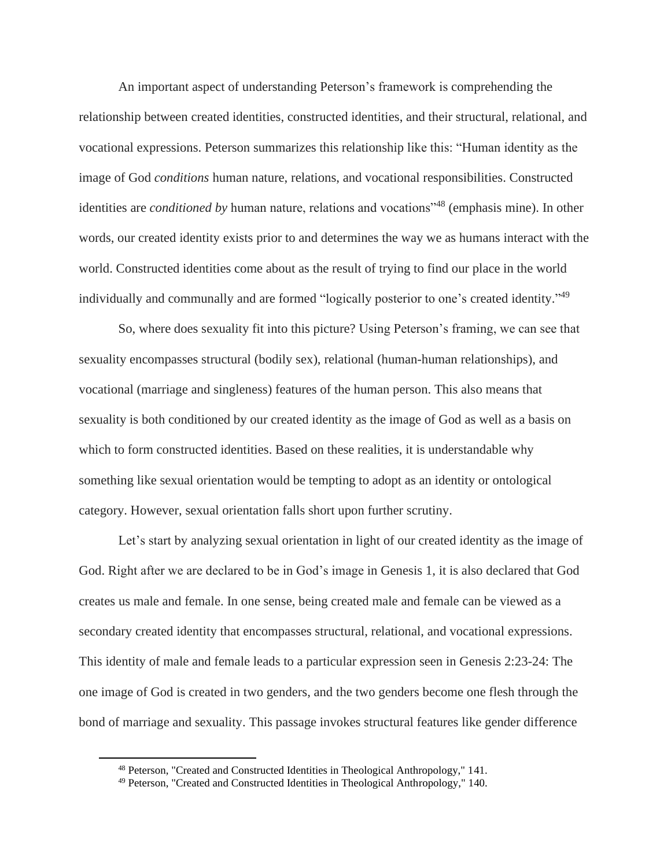An important aspect of understanding Peterson's framework is comprehending the relationship between created identities, constructed identities, and their structural, relational, and vocational expressions. Peterson summarizes this relationship like this: "Human identity as the image of God *conditions* human nature, relations, and vocational responsibilities. Constructed identities are *conditioned by* human nature, relations and vocations"<sup>48</sup> (emphasis mine). In other words, our created identity exists prior to and determines the way we as humans interact with the world. Constructed identities come about as the result of trying to find our place in the world individually and communally and are formed "logically posterior to one's created identity."<sup>49</sup>

So, where does sexuality fit into this picture? Using Peterson's framing, we can see that sexuality encompasses structural (bodily sex), relational (human-human relationships), and vocational (marriage and singleness) features of the human person. This also means that sexuality is both conditioned by our created identity as the image of God as well as a basis on which to form constructed identities. Based on these realities, it is understandable why something like sexual orientation would be tempting to adopt as an identity or ontological category. However, sexual orientation falls short upon further scrutiny.

Let's start by analyzing sexual orientation in light of our created identity as the image of God. Right after we are declared to be in God's image in Genesis 1, it is also declared that God creates us male and female. In one sense, being created male and female can be viewed as a secondary created identity that encompasses structural, relational, and vocational expressions. This identity of male and female leads to a particular expression seen in Genesis 2:23-24: The one image of God is created in two genders, and the two genders become one flesh through the bond of marriage and sexuality. This passage invokes structural features like gender difference

<sup>48</sup> Peterson, "Created and Constructed Identities in Theological Anthropology," 141.

<sup>49</sup> Peterson, "Created and Constructed Identities in Theological Anthropology," 140.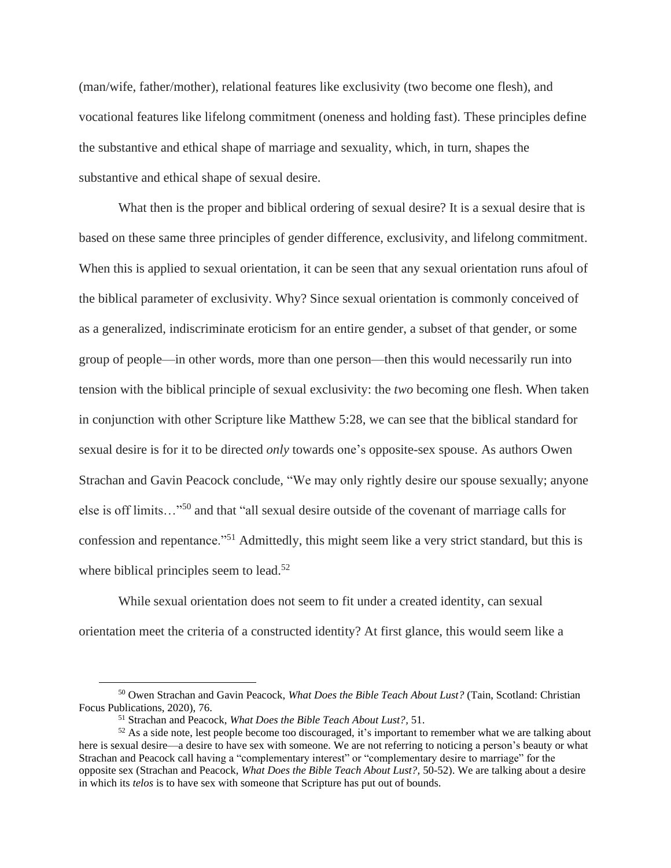(man/wife, father/mother), relational features like exclusivity (two become one flesh), and vocational features like lifelong commitment (oneness and holding fast). These principles define the substantive and ethical shape of marriage and sexuality, which, in turn, shapes the substantive and ethical shape of sexual desire.

What then is the proper and biblical ordering of sexual desire? It is a sexual desire that is based on these same three principles of gender difference, exclusivity, and lifelong commitment. When this is applied to sexual orientation, it can be seen that any sexual orientation runs afoul of the biblical parameter of exclusivity. Why? Since sexual orientation is commonly conceived of as a generalized, indiscriminate eroticism for an entire gender, a subset of that gender, or some group of people—in other words, more than one person—then this would necessarily run into tension with the biblical principle of sexual exclusivity: the *two* becoming one flesh. When taken in conjunction with other Scripture like Matthew 5:28, we can see that the biblical standard for sexual desire is for it to be directed *only* towards one's opposite-sex spouse. As authors Owen Strachan and Gavin Peacock conclude, "We may only rightly desire our spouse sexually; anyone else is off limits…"<sup>50</sup> and that "all sexual desire outside of the covenant of marriage calls for confession and repentance."<sup>51</sup> Admittedly, this might seem like a very strict standard, but this is where biblical principles seem to lead.<sup>52</sup>

While sexual orientation does not seem to fit under a created identity, can sexual orientation meet the criteria of a constructed identity? At first glance, this would seem like a

<sup>50</sup> Owen Strachan and Gavin Peacock, *What Does the Bible Teach About Lust?* (Tain, Scotland: Christian Focus Publications, 2020), 76.

<sup>51</sup> Strachan and Peacock, *What Does the Bible Teach About Lust?,* 51.

<sup>&</sup>lt;sup>52</sup> As a side note, lest people become too discouraged, it's important to remember what we are talking about here is sexual desire—a desire to have sex with someone. We are not referring to noticing a person's beauty or what Strachan and Peacock call having a "complementary interest" or "complementary desire to marriage" for the opposite sex (Strachan and Peacock, *What Does the Bible Teach About Lust?,* 50-52). We are talking about a desire in which its *telos* is to have sex with someone that Scripture has put out of bounds.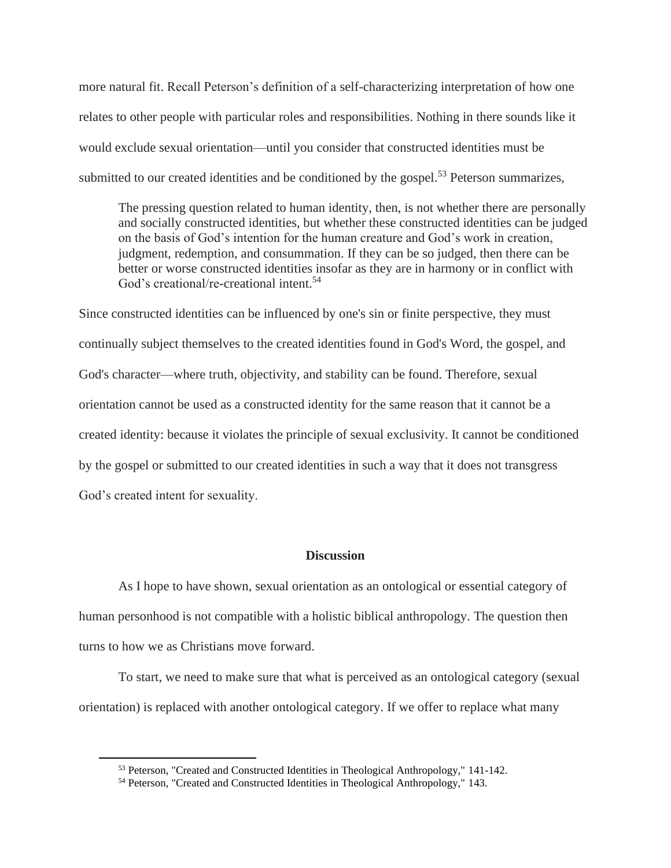more natural fit. Recall Peterson's definition of a self-characterizing interpretation of how one relates to other people with particular roles and responsibilities. Nothing in there sounds like it would exclude sexual orientation—until you consider that constructed identities must be submitted to our created identities and be conditioned by the gospel.<sup>53</sup> Peterson summarizes,

The pressing question related to human identity, then, is not whether there are personally and socially constructed identities, but whether these constructed identities can be judged on the basis of God's intention for the human creature and God's work in creation, judgment, redemption, and consummation. If they can be so judged, then there can be better or worse constructed identities insofar as they are in harmony or in conflict with God's creational/re-creational intent.<sup>54</sup>

Since constructed identities can be influenced by one's sin or finite perspective, they must continually subject themselves to the created identities found in God's Word, the gospel, and God's character—where truth, objectivity, and stability can be found. Therefore, sexual orientation cannot be used as a constructed identity for the same reason that it cannot be a created identity: because it violates the principle of sexual exclusivity. It cannot be conditioned by the gospel or submitted to our created identities in such a way that it does not transgress God's created intent for sexuality.

# **Discussion**

As I hope to have shown, sexual orientation as an ontological or essential category of human personhood is not compatible with a holistic biblical anthropology. The question then turns to how we as Christians move forward.

To start, we need to make sure that what is perceived as an ontological category (sexual orientation) is replaced with another ontological category. If we offer to replace what many

<sup>53</sup> Peterson, "Created and Constructed Identities in Theological Anthropology," 141-142.

<sup>54</sup> Peterson, "Created and Constructed Identities in Theological Anthropology," 143.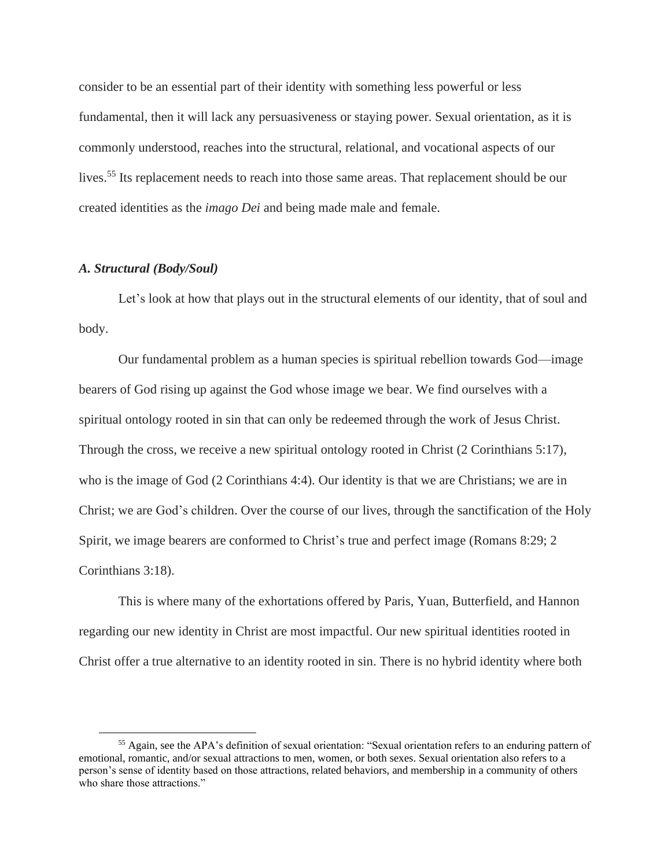consider to be an essential part of their identity with something less powerful or less fundamental, then it will lack any persuasiveness or staying power. Sexual orientation, as it is commonly understood, reaches into the structural, relational, and vocational aspects of our lives.<sup>55</sup> Its replacement needs to reach into those same areas. That replacement should be our created identities as the *imago Dei* and being made male and female.

# *A. Structural (Body/Soul)*

Let's look at how that plays out in the structural elements of our identity, that of soul and body.

Our fundamental problem as a human species is spiritual rebellion towards God—image bearers of God rising up against the God whose image we bear. We find ourselves with a spiritual ontology rooted in sin that can only be redeemed through the work of Jesus Christ. Through the cross, we receive a new spiritual ontology rooted in Christ (2 Corinthians 5:17), who is the image of God (2 Corinthians 4:4). Our identity is that we are Christians; we are in Christ; we are God's children. Over the course of our lives, through the sanctification of the Holy Spirit, we image bearers are conformed to Christ's true and perfect image (Romans 8:29; 2 Corinthians 3:18).

This is where many of the exhortations offered by Paris, Yuan, Butterfield, and Hannon regarding our new identity in Christ are most impactful. Our new spiritual identities rooted in Christ offer a true alternative to an identity rooted in sin. There is no hybrid identity where both

<sup>55</sup> Again, see the APA's definition of sexual orientation: "Sexual orientation refers to an enduring pattern of emotional, romantic, and/or sexual attractions to men, women, or both sexes. Sexual orientation also refers to a person's sense of identity based on those attractions, related behaviors, and membership in a community of others who share those attractions."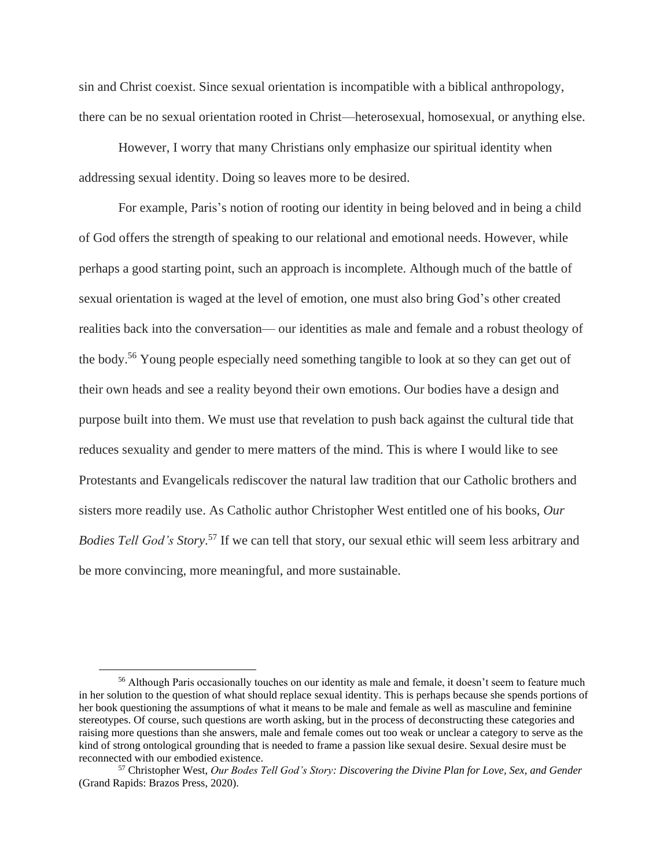sin and Christ coexist. Since sexual orientation is incompatible with a biblical anthropology, there can be no sexual orientation rooted in Christ—heterosexual, homosexual, or anything else.

However, I worry that many Christians only emphasize our spiritual identity when addressing sexual identity. Doing so leaves more to be desired.

For example, Paris's notion of rooting our identity in being beloved and in being a child of God offers the strength of speaking to our relational and emotional needs. However, while perhaps a good starting point, such an approach is incomplete. Although much of the battle of sexual orientation is waged at the level of emotion, one must also bring God's other created realities back into the conversation— our identities as male and female and a robust theology of the body.<sup>56</sup> Young people especially need something tangible to look at so they can get out of their own heads and see a reality beyond their own emotions. Our bodies have a design and purpose built into them. We must use that revelation to push back against the cultural tide that reduces sexuality and gender to mere matters of the mind. This is where I would like to see Protestants and Evangelicals rediscover the natural law tradition that our Catholic brothers and sisters more readily use. As Catholic author Christopher West entitled one of his books, *Our Bodies Tell God's Story*. <sup>57</sup> If we can tell that story, our sexual ethic will seem less arbitrary and be more convincing, more meaningful, and more sustainable.

<sup>&</sup>lt;sup>56</sup> Although Paris occasionally touches on our identity as male and female, it doesn't seem to feature much in her solution to the question of what should replace sexual identity. This is perhaps because she spends portions of her book questioning the assumptions of what it means to be male and female as well as masculine and feminine stereotypes. Of course, such questions are worth asking, but in the process of deconstructing these categories and raising more questions than she answers, male and female comes out too weak or unclear a category to serve as the kind of strong ontological grounding that is needed to frame a passion like sexual desire. Sexual desire must be reconnected with our embodied existence.

<sup>57</sup> Christopher West, *Our Bodes Tell God's Story: Discovering the Divine Plan for Love, Sex, and Gender* (Grand Rapids: Brazos Press, 2020).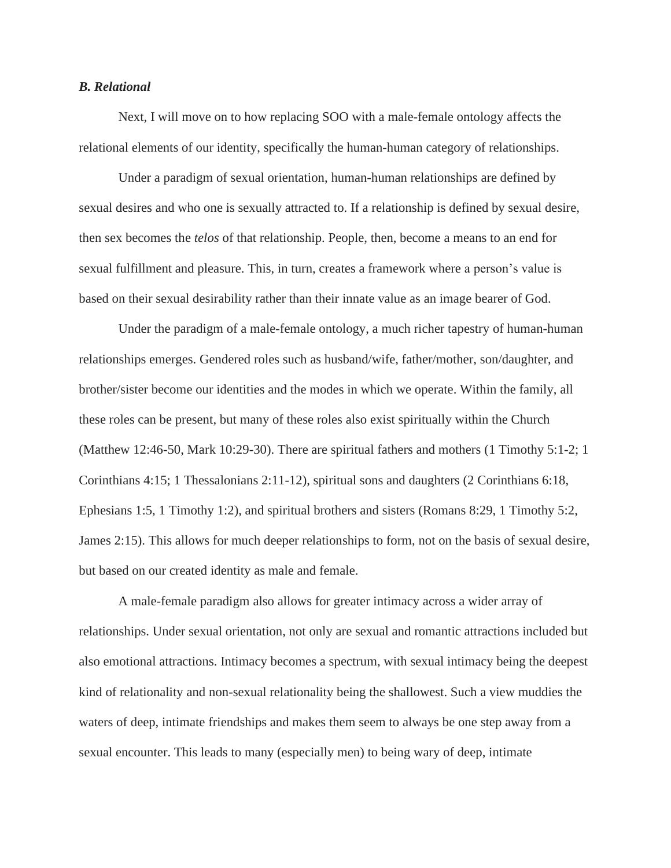## *B. Relational*

Next, I will move on to how replacing SOO with a male-female ontology affects the relational elements of our identity, specifically the human-human category of relationships.

Under a paradigm of sexual orientation, human-human relationships are defined by sexual desires and who one is sexually attracted to. If a relationship is defined by sexual desire, then sex becomes the *telos* of that relationship. People, then, become a means to an end for sexual fulfillment and pleasure. This, in turn, creates a framework where a person's value is based on their sexual desirability rather than their innate value as an image bearer of God.

Under the paradigm of a male-female ontology, a much richer tapestry of human-human relationships emerges. Gendered roles such as husband/wife, father/mother, son/daughter, and brother/sister become our identities and the modes in which we operate. Within the family, all these roles can be present, but many of these roles also exist spiritually within the Church (Matthew 12:46-50, Mark 10:29-30). There are spiritual fathers and mothers (1 Timothy 5:1-2; 1 Corinthians 4:15; 1 Thessalonians 2:11-12), spiritual sons and daughters (2 Corinthians 6:18, Ephesians 1:5, 1 Timothy 1:2), and spiritual brothers and sisters (Romans 8:29, 1 Timothy 5:2, James 2:15). This allows for much deeper relationships to form, not on the basis of sexual desire, but based on our created identity as male and female.

A male-female paradigm also allows for greater intimacy across a wider array of relationships. Under sexual orientation, not only are sexual and romantic attractions included but also emotional attractions. Intimacy becomes a spectrum, with sexual intimacy being the deepest kind of relationality and non-sexual relationality being the shallowest. Such a view muddies the waters of deep, intimate friendships and makes them seem to always be one step away from a sexual encounter. This leads to many (especially men) to being wary of deep, intimate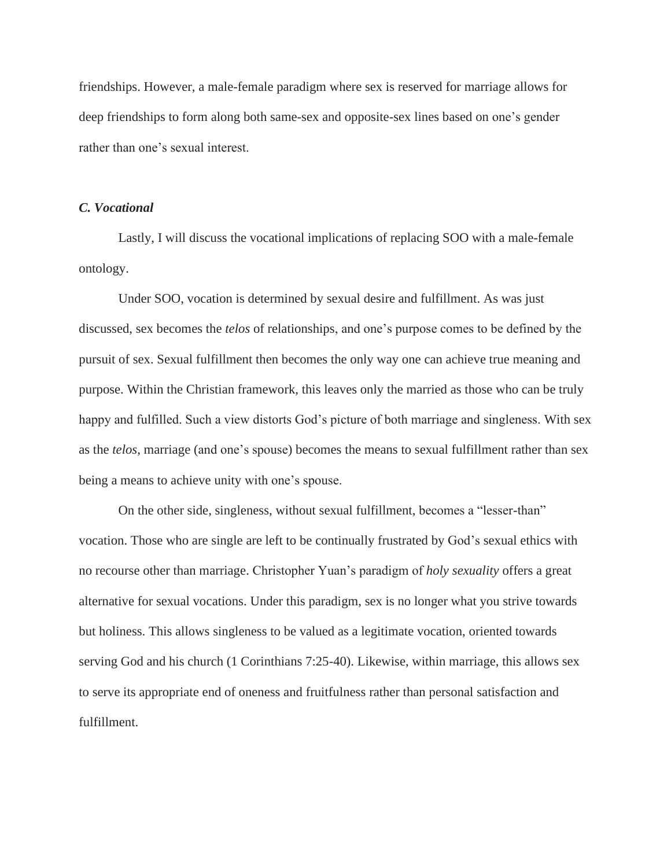friendships. However, a male-female paradigm where sex is reserved for marriage allows for deep friendships to form along both same-sex and opposite-sex lines based on one's gender rather than one's sexual interest.

## *C. Vocational*

Lastly, I will discuss the vocational implications of replacing SOO with a male-female ontology.

Under SOO, vocation is determined by sexual desire and fulfillment. As was just discussed, sex becomes the *telos* of relationships, and one's purpose comes to be defined by the pursuit of sex. Sexual fulfillment then becomes the only way one can achieve true meaning and purpose. Within the Christian framework, this leaves only the married as those who can be truly happy and fulfilled. Such a view distorts God's picture of both marriage and singleness. With sex as the *telos*, marriage (and one's spouse) becomes the means to sexual fulfillment rather than sex being a means to achieve unity with one's spouse.

On the other side, singleness, without sexual fulfillment, becomes a "lesser-than" vocation. Those who are single are left to be continually frustrated by God's sexual ethics with no recourse other than marriage. Christopher Yuan's paradigm of *holy sexuality* offers a great alternative for sexual vocations. Under this paradigm, sex is no longer what you strive towards but holiness. This allows singleness to be valued as a legitimate vocation, oriented towards serving God and his church (1 Corinthians 7:25-40). Likewise, within marriage, this allows sex to serve its appropriate end of oneness and fruitfulness rather than personal satisfaction and fulfillment.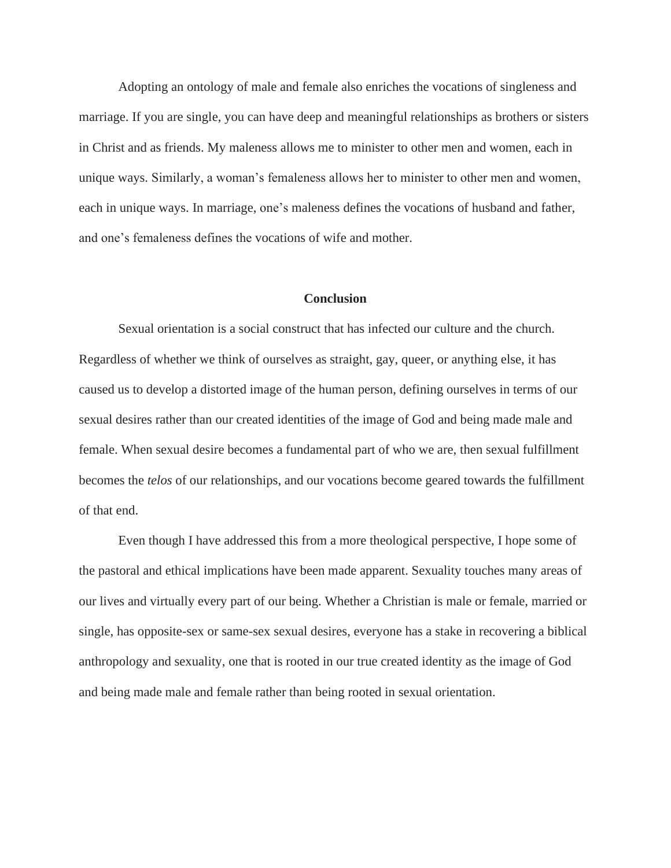Adopting an ontology of male and female also enriches the vocations of singleness and marriage. If you are single, you can have deep and meaningful relationships as brothers or sisters in Christ and as friends. My maleness allows me to minister to other men and women, each in unique ways. Similarly, a woman's femaleness allows her to minister to other men and women, each in unique ways. In marriage, one's maleness defines the vocations of husband and father, and one's femaleness defines the vocations of wife and mother.

#### **Conclusion**

Sexual orientation is a social construct that has infected our culture and the church. Regardless of whether we think of ourselves as straight, gay, queer, or anything else, it has caused us to develop a distorted image of the human person, defining ourselves in terms of our sexual desires rather than our created identities of the image of God and being made male and female. When sexual desire becomes a fundamental part of who we are, then sexual fulfillment becomes the *telos* of our relationships, and our vocations become geared towards the fulfillment of that end.

Even though I have addressed this from a more theological perspective, I hope some of the pastoral and ethical implications have been made apparent. Sexuality touches many areas of our lives and virtually every part of our being. Whether a Christian is male or female, married or single, has opposite-sex or same-sex sexual desires, everyone has a stake in recovering a biblical anthropology and sexuality, one that is rooted in our true created identity as the image of God and being made male and female rather than being rooted in sexual orientation.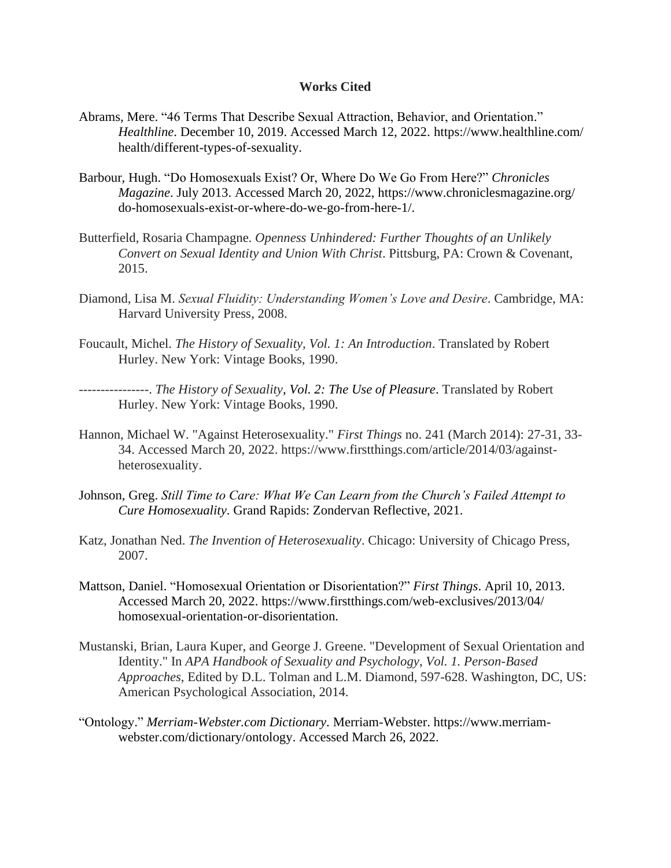### **Works Cited**

- Abrams, Mere. "46 Terms That Describe Sexual Attraction, Behavior, and Orientation." *Healthline*. December 10, 2019. Accessed March 12, 2022. https://www.healthline.com/ health/different-types-of-sexuality.
- Barbour, Hugh. "Do Homosexuals Exist? Or, Where Do We Go From Here?" *Chronicles Magazine*. July 2013. Accessed March 20, 2022, https://www.chroniclesmagazine.org/ do-homosexuals-exist-or-where-do-we-go-from-here-1/.
- Butterfield, Rosaria Champagne. *Openness Unhindered: Further Thoughts of an Unlikely Convert on Sexual Identity and Union With Christ*. Pittsburg, PA: Crown & Covenant, 2015.
- Diamond, Lisa M. *Sexual Fluidity: Understanding Women's Love and Desire*. Cambridge, MA: Harvard University Press, 2008.
- Foucault, Michel. *The History of Sexuality, Vol. 1: An Introduction*. Translated by Robert Hurley. New York: Vintage Books, 1990.
- ----------------. *The History of Sexuality, Vol. 2: The Use of Pleasure*. Translated by Robert Hurley. New York: Vintage Books, 1990.
- Hannon, Michael W. "Against Heterosexuality." *First Things* no. 241 (March 2014): 27-31, 33- 34. Accessed March 20, 2022. https://www.firstthings.com/article/2014/03/againstheterosexuality.
- Johnson, Greg. *Still Time to Care: What We Can Learn from the Church's Failed Attempt to Cure Homosexuality*. Grand Rapids: Zondervan Reflective, 2021.
- Katz, Jonathan Ned. *The Invention of Heterosexuality*. Chicago: University of Chicago Press, 2007.
- Mattson, Daniel. "Homosexual Orientation or Disorientation?" *First Things*. April 10, 2013. Accessed March 20, 2022. https://www.firstthings.com/web-exclusives/2013/04/ homosexual-orientation-or-disorientation.
- Mustanski, Brian, Laura Kuper, and George J. Greene. "Development of Sexual Orientation and Identity." In *APA Handbook of Sexuality and Psychology*, *Vol. 1. Person-Based Approaches*, Edited by D.L. Tolman and L.M. Diamond, 597-628. Washington, DC, US: American Psychological Association, 2014.
- "Ontology." *Merriam-Webster.com Dictionary*. Merriam-Webster. https://www.merriamwebster.com/dictionary/ontology. Accessed March 26, 2022.